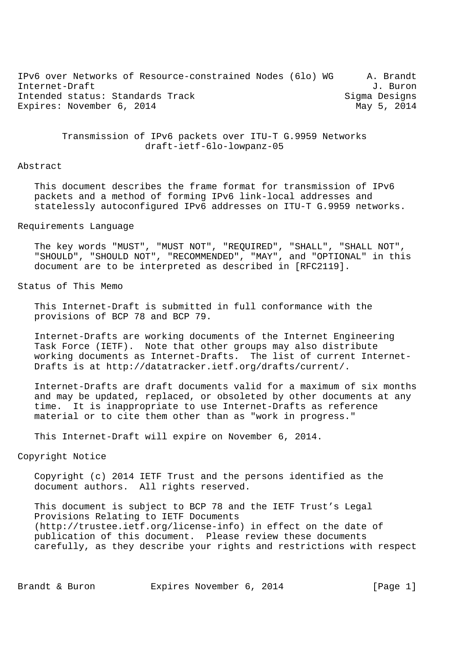IPv6 over Networks of Resource-constrained Nodes (6lo) WG A. Brandt Internet-Draft J. Buron Intended status: Standards Track Sigma Designs Expires: November 6, 2014 May 5, 2014

> Transmission of IPv6 packets over ITU-T G.9959 Networks draft-ietf-6lo-lowpanz-05

#### Abstract

 This document describes the frame format for transmission of IPv6 packets and a method of forming IPv6 link-local addresses and statelessly autoconfigured IPv6 addresses on ITU-T G.9959 networks.

## Requirements Language

 The key words "MUST", "MUST NOT", "REQUIRED", "SHALL", "SHALL NOT", "SHOULD", "SHOULD NOT", "RECOMMENDED", "MAY", and "OPTIONAL" in this document are to be interpreted as described in [RFC2119].

# Status of This Memo

 This Internet-Draft is submitted in full conformance with the provisions of BCP 78 and BCP 79.

 Internet-Drafts are working documents of the Internet Engineering Task Force (IETF). Note that other groups may also distribute working documents as Internet-Drafts. The list of current Internet- Drafts is at http://datatracker.ietf.org/drafts/current/.

 Internet-Drafts are draft documents valid for a maximum of six months and may be updated, replaced, or obsoleted by other documents at any time. It is inappropriate to use Internet-Drafts as reference material or to cite them other than as "work in progress."

This Internet-Draft will expire on November 6, 2014.

## Copyright Notice

 Copyright (c) 2014 IETF Trust and the persons identified as the document authors. All rights reserved.

 This document is subject to BCP 78 and the IETF Trust's Legal Provisions Relating to IETF Documents (http://trustee.ietf.org/license-info) in effect on the date of publication of this document. Please review these documents carefully, as they describe your rights and restrictions with respect

Brandt & Buron **Expires November 6, 2014** [Page 1]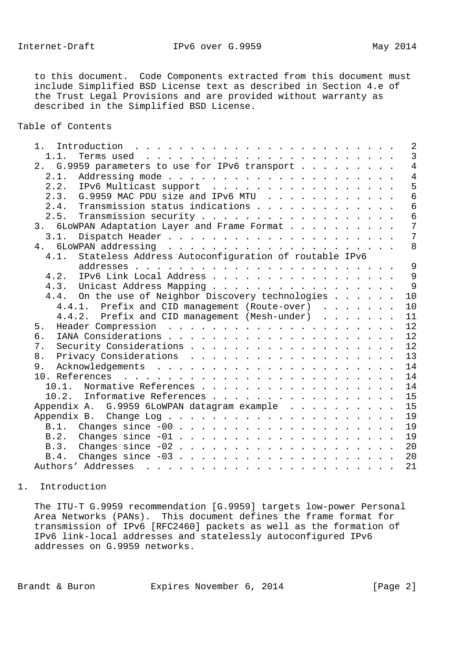to this document. Code Components extracted from this document must include Simplified BSD License text as described in Section 4.e of the Trust Legal Provisions and are provided without warranty as described in the Simplified BSD License.

Table of Contents

| 1.                                                           | $\overline{2}$ |
|--------------------------------------------------------------|----------------|
| Terms used<br>1.1.                                           | $\overline{3}$ |
| 2. G.9959 parameters to use for IPv6 transport               | $\overline{4}$ |
| 2.1.                                                         | $\overline{4}$ |
| IPv6 Multicast support<br>2.2.                               | 5              |
| G.9959 MAC PDU size and IPv6 MTU<br>2.3.                     | $\overline{6}$ |
| Transmission status indications<br>2.4.                      | $\overline{6}$ |
| 2.5.                                                         | 6              |
| 3. 6LOWPAN Adaptation Layer and Frame Format                 | 7              |
| 3.1.                                                         | 7              |
|                                                              | 8              |
| Stateless Address Autoconfiguration of routable IPv6<br>4.1. |                |
|                                                              | 9              |
| IPv6 Link Local Address<br>4.2.                              | $\mathsf{Q}$   |
| 4.3. Unicast Address Mapping                                 | $\overline{9}$ |
| 4.4. On the use of Neighbor Discovery technologies           | 10             |
| 4.4.1. Prefix and CID management (Route-over)                | 10             |
| 4.4.2. Prefix and CID management (Mesh-under)                | 11             |
| 5.                                                           | 12             |
| б.                                                           | 12             |
| 7.                                                           | 12             |
| 8.                                                           | 13             |
| 9.                                                           | 14             |
|                                                              | 14             |
| Normative References<br>10.1.                                | 14             |
| 10.2.<br>Informative References                              | 15             |
| Appendix A. G.9959 6LoWPAN datagram example                  | 15             |
|                                                              | 19             |
| B.1.                                                         | 19             |
| B.2.                                                         | 19             |
| B.3. Changes since $-02$                                     | 20             |
| Changes since $-03$<br>B.4.                                  | 20             |
|                                                              | 21             |
|                                                              |                |

# 1. Introduction

 The ITU-T G.9959 recommendation [G.9959] targets low-power Personal Area Networks (PANs). This document defines the frame format for transmission of IPv6 [RFC2460] packets as well as the formation of IPv6 link-local addresses and statelessly autoconfigured IPv6 addresses on G.9959 networks.

Brandt & Buron **Expires November 6, 2014** [Page 2]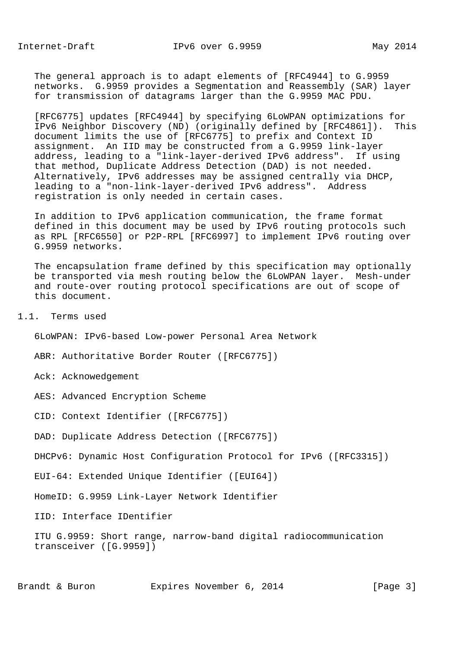Internet-Draft IPv6 over G.9959 May 2014

 The general approach is to adapt elements of [RFC4944] to G.9959 networks. G.9959 provides a Segmentation and Reassembly (SAR) layer for transmission of datagrams larger than the G.9959 MAC PDU.

 [RFC6775] updates [RFC4944] by specifying 6LoWPAN optimizations for IPv6 Neighbor Discovery (ND) (originally defined by [RFC4861]). This document limits the use of [RFC6775] to prefix and Context ID assignment. An IID may be constructed from a G.9959 link-layer address, leading to a "link-layer-derived IPv6 address". If using that method, Duplicate Address Detection (DAD) is not needed. Alternatively, IPv6 addresses may be assigned centrally via DHCP, leading to a "non-link-layer-derived IPv6 address". Address registration is only needed in certain cases.

 In addition to IPv6 application communication, the frame format defined in this document may be used by IPv6 routing protocols such as RPL [RFC6550] or P2P-RPL [RFC6997] to implement IPv6 routing over G.9959 networks.

 The encapsulation frame defined by this specification may optionally be transported via mesh routing below the 6LoWPAN layer. Mesh-under and route-over routing protocol specifications are out of scope of this document.

1.1. Terms used

6LoWPAN: IPv6-based Low-power Personal Area Network

ABR: Authoritative Border Router ([RFC6775])

Ack: Acknowedgement

AES: Advanced Encryption Scheme

CID: Context Identifier ([RFC6775])

DAD: Duplicate Address Detection ([RFC6775])

DHCPv6: Dynamic Host Configuration Protocol for IPv6 ([RFC3315])

EUI-64: Extended Unique Identifier ([EUI64])

HomeID: G.9959 Link-Layer Network Identifier

IID: Interface IDentifier

 ITU G.9959: Short range, narrow-band digital radiocommunication transceiver ([G.9959])

Brandt & Buron Expires November 6, 2014 [Page 3]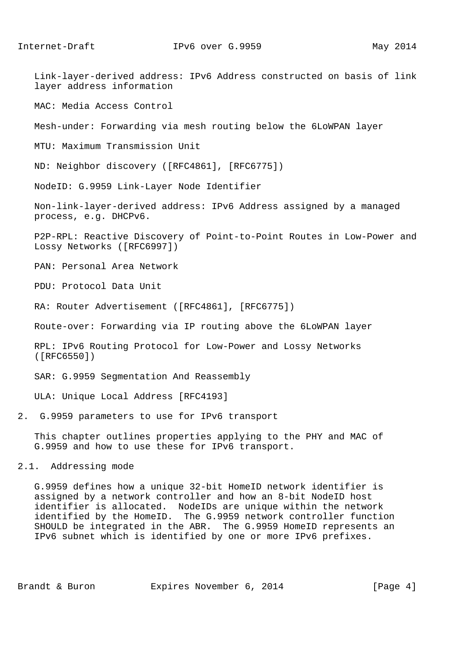Link-layer-derived address: IPv6 Address constructed on basis of link layer address information

MAC: Media Access Control

Mesh-under: Forwarding via mesh routing below the 6LoWPAN layer

MTU: Maximum Transmission Unit

ND: Neighbor discovery ([RFC4861], [RFC6775])

NodeID: G.9959 Link-Layer Node Identifier

 Non-link-layer-derived address: IPv6 Address assigned by a managed process, e.g. DHCPv6.

 P2P-RPL: Reactive Discovery of Point-to-Point Routes in Low-Power and Lossy Networks ([RFC6997])

PAN: Personal Area Network

PDU: Protocol Data Unit

RA: Router Advertisement ([RFC4861], [RFC6775])

Route-over: Forwarding via IP routing above the 6LoWPAN layer

 RPL: IPv6 Routing Protocol for Low-Power and Lossy Networks ([RFC6550])

SAR: G.9959 Segmentation And Reassembly

ULA: Unique Local Address [RFC4193]

2. G.9959 parameters to use for IPv6 transport

 This chapter outlines properties applying to the PHY and MAC of G.9959 and how to use these for IPv6 transport.

2.1. Addressing mode

 G.9959 defines how a unique 32-bit HomeID network identifier is assigned by a network controller and how an 8-bit NodeID host identifier is allocated. NodeIDs are unique within the network identified by the HomeID. The G.9959 network controller function SHOULD be integrated in the ABR. The G.9959 HomeID represents an IPv6 subnet which is identified by one or more IPv6 prefixes.

Brandt & Buron **Expires November 6, 2014** [Page 4]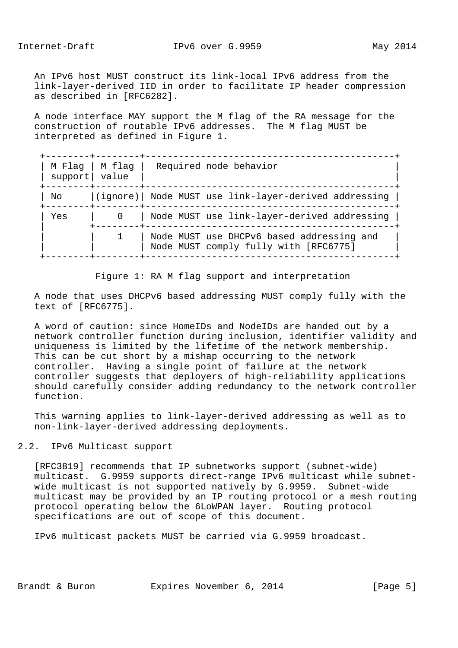Internet-Draft IPv6 over G.9959 May 2014

 An IPv6 host MUST construct its link-local IPv6 address from the link-layer-derived IID in order to facilitate IP header compression as described in [RFC6282].

 A node interface MAY support the M flag of the RA message for the construction of routable IPv6 addresses. The M flag MUST be interpreted as defined in Figure 1.

| $M$ Flag $ $<br>support value | M flaq | Required node behavior                                                             |
|-------------------------------|--------|------------------------------------------------------------------------------------|
| Νo                            |        | (ignore)   Node MUST use link-layer-derived addressing                             |
| Yes                           |        | Node MUST use link-layer-derived addressing                                        |
|                               |        | Node MUST use DHCPv6 based addressing and<br>Node MUST comply fully with [RFC6775] |

Figure 1: RA M flag support and interpretation

 A node that uses DHCPv6 based addressing MUST comply fully with the text of [RFC6775].

 A word of caution: since HomeIDs and NodeIDs are handed out by a network controller function during inclusion, identifier validity and uniqueness is limited by the lifetime of the network membership. This can be cut short by a mishap occurring to the network controller. Having a single point of failure at the network controller suggests that deployers of high-reliability applications should carefully consider adding redundancy to the network controller function.

 This warning applies to link-layer-derived addressing as well as to non-link-layer-derived addressing deployments.

2.2. IPv6 Multicast support

 [RFC3819] recommends that IP subnetworks support (subnet-wide) multicast. G.9959 supports direct-range IPv6 multicast while subnet wide multicast is not supported natively by G.9959. Subnet-wide multicast may be provided by an IP routing protocol or a mesh routing protocol operating below the 6LoWPAN layer. Routing protocol specifications are out of scope of this document.

IPv6 multicast packets MUST be carried via G.9959 broadcast.

Brandt & Buron Expires November 6, 2014 [Page 5]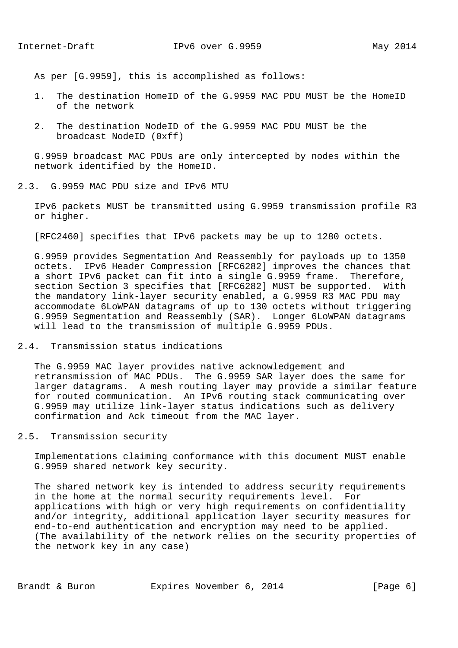As per [G.9959], this is accomplished as follows:

- 1. The destination HomeID of the G.9959 MAC PDU MUST be the HomeID of the network
- 2. The destination NodeID of the G.9959 MAC PDU MUST be the broadcast NodeID (0xff)

 G.9959 broadcast MAC PDUs are only intercepted by nodes within the network identified by the HomeID.

2.3. G.9959 MAC PDU size and IPv6 MTU

 IPv6 packets MUST be transmitted using G.9959 transmission profile R3 or higher.

[RFC2460] specifies that IPv6 packets may be up to 1280 octets.

 G.9959 provides Segmentation And Reassembly for payloads up to 1350 octets. IPv6 Header Compression [RFC6282] improves the chances that a short IPv6 packet can fit into a single G.9959 frame. Therefore, section Section 3 specifies that [RFC6282] MUST be supported. With the mandatory link-layer security enabled, a G.9959 R3 MAC PDU may accommodate 6LoWPAN datagrams of up to 130 octets without triggering G.9959 Segmentation and Reassembly (SAR). Longer 6LoWPAN datagrams will lead to the transmission of multiple G.9959 PDUs.

2.4. Transmission status indications

 The G.9959 MAC layer provides native acknowledgement and retransmission of MAC PDUs. The G.9959 SAR layer does the same for larger datagrams. A mesh routing layer may provide a similar feature for routed communication. An IPv6 routing stack communicating over G.9959 may utilize link-layer status indications such as delivery confirmation and Ack timeout from the MAC layer.

2.5. Transmission security

 Implementations claiming conformance with this document MUST enable G.9959 shared network key security.

 The shared network key is intended to address security requirements in the home at the normal security requirements level. For applications with high or very high requirements on confidentiality and/or integrity, additional application layer security measures for end-to-end authentication and encryption may need to be applied. (The availability of the network relies on the security properties of the network key in any case)

Brandt & Buron **Expires November 6, 2014** [Page 6]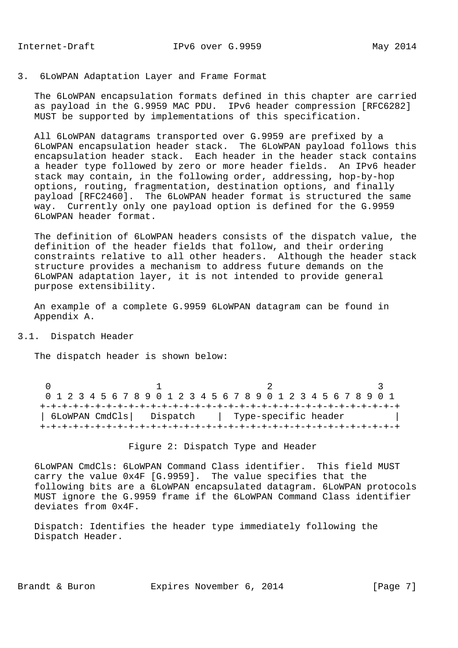## 3. 6LoWPAN Adaptation Layer and Frame Format

 The 6LoWPAN encapsulation formats defined in this chapter are carried as payload in the G.9959 MAC PDU. IPv6 header compression [RFC6282] MUST be supported by implementations of this specification.

 All 6LoWPAN datagrams transported over G.9959 are prefixed by a 6LoWPAN encapsulation header stack. The 6LoWPAN payload follows this encapsulation header stack. Each header in the header stack contains a header type followed by zero or more header fields. An IPv6 header stack may contain, in the following order, addressing, hop-by-hop options, routing, fragmentation, destination options, and finally payload [RFC2460]. The 6LoWPAN header format is structured the same way. Currently only one payload option is defined for the G.9959 6LoWPAN header format.

 The definition of 6LoWPAN headers consists of the dispatch value, the definition of the header fields that follow, and their ordering constraints relative to all other headers. Although the header stack structure provides a mechanism to address future demands on the 6LoWPAN adaptation layer, it is not intended to provide general purpose extensibility.

 An example of a complete G.9959 6LoWPAN datagram can be found in Appendix A.

#### 3.1. Dispatch Header

The dispatch header is shown below:

0  $1$  2 3 0 1 2 3 4 5 6 7 8 9 0 1 2 3 4 5 6 7 8 9 0 1 2 3 4 5 6 7 8 9 0 1 +-+-+-+-+-+-+-+-+-+-+-+-+-+-+-+-+-+-+-+-+-+-+-+-+-+-+-+-+-+-+-+-+ | 6LoWPAN CmdCls| Dispatch | Type-specific header | +-+-+-+-+-+-+-+-+-+-+-+-+-+-+-+-+-+-+-+-+-+-+-+-+-+-+-+-+-+-+-+-+

#### Figure 2: Dispatch Type and Header

 6LoWPAN CmdCls: 6LoWPAN Command Class identifier. This field MUST carry the value 0x4F [G.9959]. The value specifies that the following bits are a 6LoWPAN encapsulated datagram. 6LoWPAN protocols MUST ignore the G.9959 frame if the 6LoWPAN Command Class identifier deviates from 0x4F.

 Dispatch: Identifies the header type immediately following the Dispatch Header.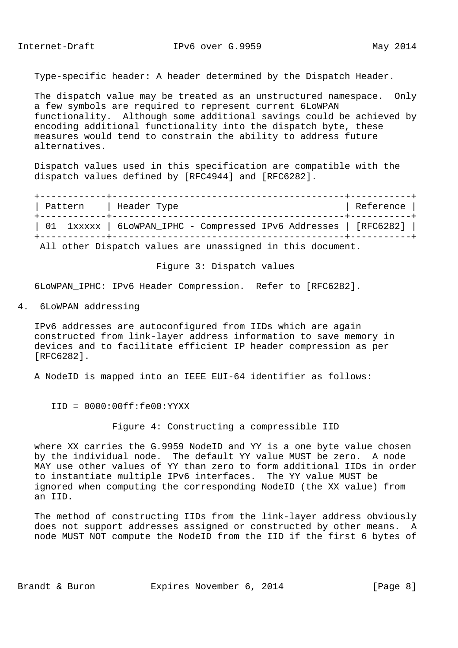Type-specific header: A header determined by the Dispatch Header.

 The dispatch value may be treated as an unstructured namespace. Only a few symbols are required to represent current 6LoWPAN functionality. Although some additional savings could be achieved by encoding additional functionality into the dispatch byte, these measures would tend to constrain the ability to address future alternatives.

 Dispatch values used in this specification are compatible with the dispatch values defined by [RFC4944] and [RFC6282].

 +------------+------------------------------------------+-----------+ | Pattern | Header Type | Reference | +------------+------------------------------------------+-----------+ | 01 1xxxxx | 6LoWPAN\_IPHC - Compressed IPv6 Addresses | [RFC6282] | +------------+------------------------------------------+-----------+ All other Dispatch values are unassigned in this document.

Figure 3: Dispatch values

6LoWPAN\_IPHC: IPv6 Header Compression. Refer to [RFC6282].

4. 6LoWPAN addressing

 IPv6 addresses are autoconfigured from IIDs which are again constructed from link-layer address information to save memory in devices and to facilitate efficient IP header compression as per [RFC6282].

A NodeID is mapped into an IEEE EUI-64 identifier as follows:

IID = 0000:00ff:fe00:YYXX

Figure 4: Constructing a compressible IID

 where XX carries the G.9959 NodeID and YY is a one byte value chosen by the individual node. The default YY value MUST be zero. A node MAY use other values of YY than zero to form additional IIDs in order to instantiate multiple IPv6 interfaces. The YY value MUST be ignored when computing the corresponding NodeID (the XX value) from an IID.

 The method of constructing IIDs from the link-layer address obviously does not support addresses assigned or constructed by other means. A node MUST NOT compute the NodeID from the IID if the first 6 bytes of

Brandt & Buron Expires November 6, 2014 [Page 8]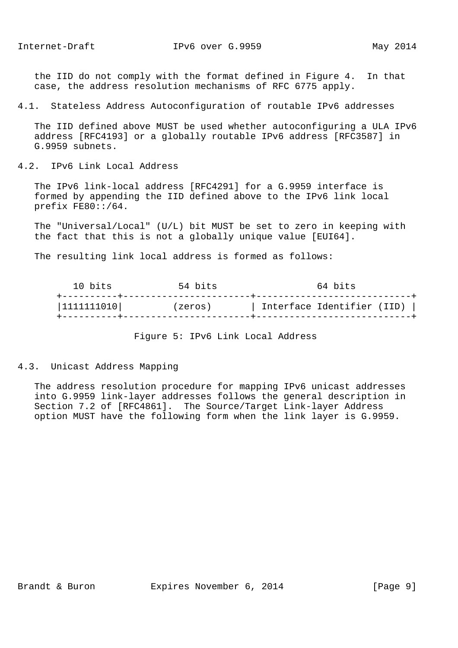the IID do not comply with the format defined in Figure 4. In that case, the address resolution mechanisms of RFC 6775 apply.

4.1. Stateless Address Autoconfiguration of routable IPv6 addresses

 The IID defined above MUST be used whether autoconfiguring a ULA IPv6 address [RFC4193] or a globally routable IPv6 address [RFC3587] in G.9959 subnets.

4.2. IPv6 Link Local Address

 The IPv6 link-local address [RFC4291] for a G.9959 interface is formed by appending the IID defined above to the IPv6 link local prefix FE80::/64.

 The "Universal/Local" (U/L) bit MUST be set to zero in keeping with the fact that this is not a globally unique value [EUI64].

The resulting link local address is formed as follows:

| 10 bits    | 54 bits | 64 bits                    |  |  |  |  |  |
|------------|---------|----------------------------|--|--|--|--|--|
| 1111111010 | (zeros) | Interface Identifier (IID) |  |  |  |  |  |
|            |         |                            |  |  |  |  |  |

Figure 5: IPv6 Link Local Address

## 4.3. Unicast Address Mapping

 The address resolution procedure for mapping IPv6 unicast addresses into G.9959 link-layer addresses follows the general description in Section 7.2 of [RFC4861]. The Source/Target Link-layer Address option MUST have the following form when the link layer is G.9959.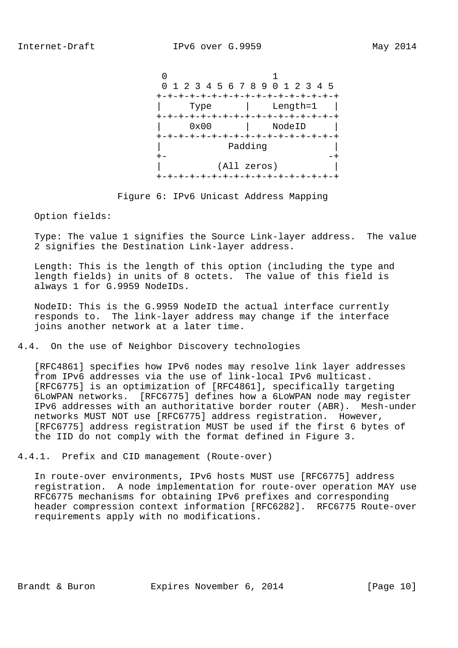

Figure 6: IPv6 Unicast Address Mapping

Option fields:

 Type: The value 1 signifies the Source Link-layer address. The value 2 signifies the Destination Link-layer address.

 Length: This is the length of this option (including the type and length fields) in units of 8 octets. The value of this field is always 1 for G.9959 NodeIDs.

 NodeID: This is the G.9959 NodeID the actual interface currently responds to. The link-layer address may change if the interface joins another network at a later time.

4.4. On the use of Neighbor Discovery technologies

 [RFC4861] specifies how IPv6 nodes may resolve link layer addresses from IPv6 addresses via the use of link-local IPv6 multicast. [RFC6775] is an optimization of [RFC4861], specifically targeting 6LoWPAN networks. [RFC6775] defines how a 6LoWPAN node may register IPv6 addresses with an authoritative border router (ABR). Mesh-under networks MUST NOT use [RFC6775] address registration. However, [RFC6775] address registration MUST be used if the first 6 bytes of the IID do not comply with the format defined in Figure 3.

4.4.1. Prefix and CID management (Route-over)

 In route-over environments, IPv6 hosts MUST use [RFC6775] address registration. A node implementation for route-over operation MAY use RFC6775 mechanisms for obtaining IPv6 prefixes and corresponding header compression context information [RFC6282]. RFC6775 Route-over requirements apply with no modifications.

Brandt & Buron Expires November 6, 2014 [Page 10]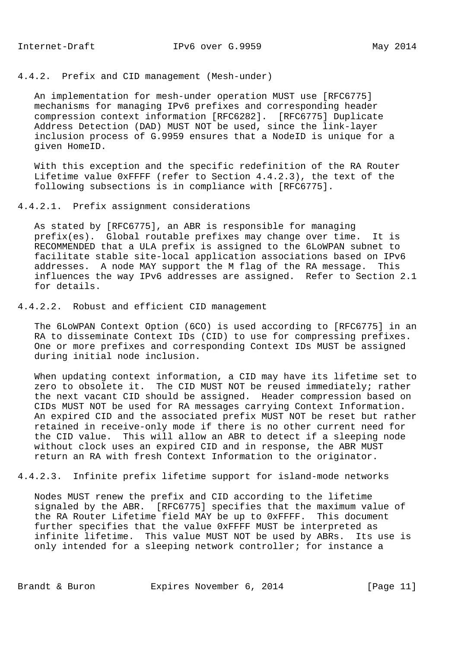## 4.4.2. Prefix and CID management (Mesh-under)

 An implementation for mesh-under operation MUST use [RFC6775] mechanisms for managing IPv6 prefixes and corresponding header compression context information [RFC6282]. [RFC6775] Duplicate Address Detection (DAD) MUST NOT be used, since the link-layer inclusion process of G.9959 ensures that a NodeID is unique for a given HomeID.

 With this exception and the specific redefinition of the RA Router Lifetime value 0xFFFF (refer to Section 4.4.2.3), the text of the following subsections is in compliance with [RFC6775].

## 4.4.2.1. Prefix assignment considerations

 As stated by [RFC6775], an ABR is responsible for managing prefix(es). Global routable prefixes may change over time. It is RECOMMENDED that a ULA prefix is assigned to the 6LoWPAN subnet to facilitate stable site-local application associations based on IPv6 addresses. A node MAY support the M flag of the RA message. This influences the way IPv6 addresses are assigned. Refer to Section 2.1 for details.

## 4.4.2.2. Robust and efficient CID management

 The 6LoWPAN Context Option (6CO) is used according to [RFC6775] in an RA to disseminate Context IDs (CID) to use for compressing prefixes. One or more prefixes and corresponding Context IDs MUST be assigned during initial node inclusion.

 When updating context information, a CID may have its lifetime set to zero to obsolete it. The CID MUST NOT be reused immediately; rather the next vacant CID should be assigned. Header compression based on CIDs MUST NOT be used for RA messages carrying Context Information. An expired CID and the associated prefix MUST NOT be reset but rather retained in receive-only mode if there is no other current need for the CID value. This will allow an ABR to detect if a sleeping node without clock uses an expired CID and in response, the ABR MUST return an RA with fresh Context Information to the originator.

4.4.2.3. Infinite prefix lifetime support for island-mode networks

 Nodes MUST renew the prefix and CID according to the lifetime signaled by the ABR. [RFC6775] specifies that the maximum value of the RA Router Lifetime field MAY be up to 0xFFFF. This document further specifies that the value 0xFFFF MUST be interpreted as infinite lifetime. This value MUST NOT be used by ABRs. Its use is only intended for a sleeping network controller; for instance a

Brandt & Buron Expires November 6, 2014 [Page 11]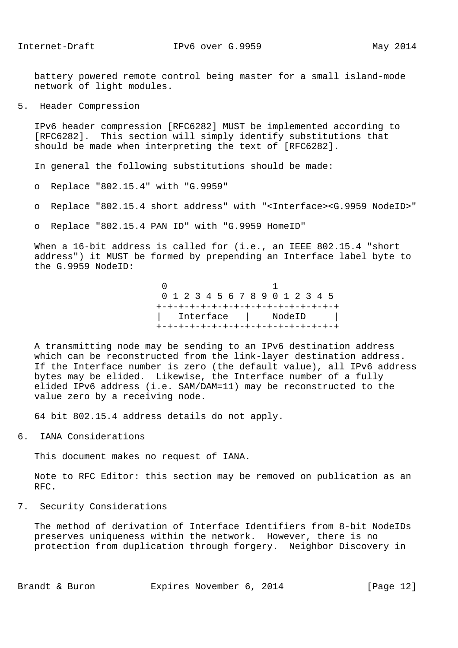battery powered remote control being master for a small island-mode network of light modules.

5. Header Compression

 IPv6 header compression [RFC6282] MUST be implemented according to [RFC6282]. This section will simply identify substitutions that should be made when interpreting the text of [RFC6282].

In general the following substitutions should be made:

o Replace "802.15.4" with "G.9959"

- o Replace "802.15.4 short address" with "<Interface><G.9959 NodeID>"
- o Replace "802.15.4 PAN ID" with "G.9959 HomeID"

When a 16-bit address is called for (i.e., an IEEE 802.15.4 "short address") it MUST be formed by prepending an Interface label byte to the G.9959 NodeID:

 $\sim$  1 0 1 2 3 4 5 6 7 8 9 0 1 2 3 4 5 +-+-+-+-+-+-+-+-+-+-+-+-+-+-+-+-+ | Interface | NodeID | +-+-+-+-+-+-+-+-+-+-+-+-+-+-+-+-+

 A transmitting node may be sending to an IPv6 destination address which can be reconstructed from the link-layer destination address. If the Interface number is zero (the default value), all IPv6 address bytes may be elided. Likewise, the Interface number of a fully elided IPv6 address (i.e. SAM/DAM=11) may be reconstructed to the value zero by a receiving node.

64 bit 802.15.4 address details do not apply.

6. IANA Considerations

This document makes no request of IANA.

 Note to RFC Editor: this section may be removed on publication as an RFC.

7. Security Considerations

 The method of derivation of Interface Identifiers from 8-bit NodeIDs preserves uniqueness within the network. However, there is no protection from duplication through forgery. Neighbor Discovery in

Brandt & Buron Expires November 6, 2014 [Page 12]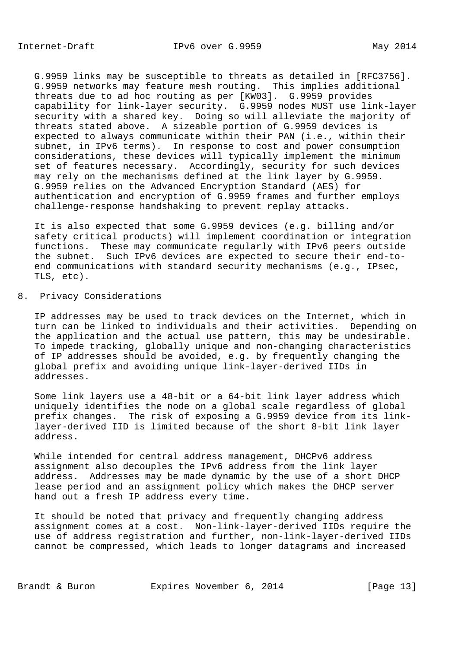G.9959 links may be susceptible to threats as detailed in [RFC3756]. G.9959 networks may feature mesh routing. This implies additional threats due to ad hoc routing as per [KW03]. G.9959 provides capability for link-layer security. G.9959 nodes MUST use link-layer security with a shared key. Doing so will alleviate the majority of threats stated above. A sizeable portion of G.9959 devices is expected to always communicate within their PAN (i.e., within their subnet, in IPv6 terms). In response to cost and power consumption considerations, these devices will typically implement the minimum set of features necessary. Accordingly, security for such devices may rely on the mechanisms defined at the link layer by G.9959. G.9959 relies on the Advanced Encryption Standard (AES) for authentication and encryption of G.9959 frames and further employs challenge-response handshaking to prevent replay attacks.

 It is also expected that some G.9959 devices (e.g. billing and/or safety critical products) will implement coordination or integration functions. These may communicate regularly with IPv6 peers outside the subnet. Such IPv6 devices are expected to secure their end-to end communications with standard security mechanisms (e.g., IPsec, TLS, etc).

## 8. Privacy Considerations

 IP addresses may be used to track devices on the Internet, which in turn can be linked to individuals and their activities. Depending on the application and the actual use pattern, this may be undesirable. To impede tracking, globally unique and non-changing characteristics of IP addresses should be avoided, e.g. by frequently changing the global prefix and avoiding unique link-layer-derived IIDs in addresses.

 Some link layers use a 48-bit or a 64-bit link layer address which uniquely identifies the node on a global scale regardless of global prefix changes. The risk of exposing a G.9959 device from its link layer-derived IID is limited because of the short 8-bit link layer address.

 While intended for central address management, DHCPv6 address assignment also decouples the IPv6 address from the link layer address. Addresses may be made dynamic by the use of a short DHCP lease period and an assignment policy which makes the DHCP server hand out a fresh IP address every time.

 It should be noted that privacy and frequently changing address assignment comes at a cost. Non-link-layer-derived IIDs require the use of address registration and further, non-link-layer-derived IIDs cannot be compressed, which leads to longer datagrams and increased

Brandt & Buron Expires November 6, 2014 [Page 13]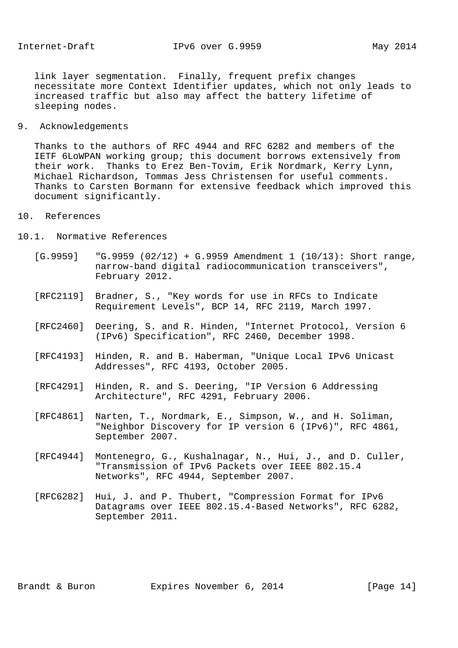link layer segmentation. Finally, frequent prefix changes necessitate more Context Identifier updates, which not only leads to increased traffic but also may affect the battery lifetime of sleeping nodes.

9. Acknowledgements

 Thanks to the authors of RFC 4944 and RFC 6282 and members of the IETF 6LoWPAN working group; this document borrows extensively from their work. Thanks to Erez Ben-Tovim, Erik Nordmark, Kerry Lynn, Michael Richardson, Tommas Jess Christensen for useful comments. Thanks to Carsten Bormann for extensive feedback which improved this document significantly.

- 10. References
- 10.1. Normative References
	- $[G.9959]$  "G.9959 (02/12) + G.9959 Amendment 1 (10/13): Short range, narrow-band digital radiocommunication transceivers", February 2012.
	- [RFC2119] Bradner, S., "Key words for use in RFCs to Indicate Requirement Levels", BCP 14, RFC 2119, March 1997.
	- [RFC2460] Deering, S. and R. Hinden, "Internet Protocol, Version 6 (IPv6) Specification", RFC 2460, December 1998.
	- [RFC4193] Hinden, R. and B. Haberman, "Unique Local IPv6 Unicast Addresses", RFC 4193, October 2005.
	- [RFC4291] Hinden, R. and S. Deering, "IP Version 6 Addressing Architecture", RFC 4291, February 2006.
	- [RFC4861] Narten, T., Nordmark, E., Simpson, W., and H. Soliman, "Neighbor Discovery for IP version 6 (IPv6)", RFC 4861, September 2007.
	- [RFC4944] Montenegro, G., Kushalnagar, N., Hui, J., and D. Culler, "Transmission of IPv6 Packets over IEEE 802.15.4 Networks", RFC 4944, September 2007.
	- [RFC6282] Hui, J. and P. Thubert, "Compression Format for IPv6 Datagrams over IEEE 802.15.4-Based Networks", RFC 6282, September 2011.

Brandt & Buron Expires November 6, 2014 [Page 14]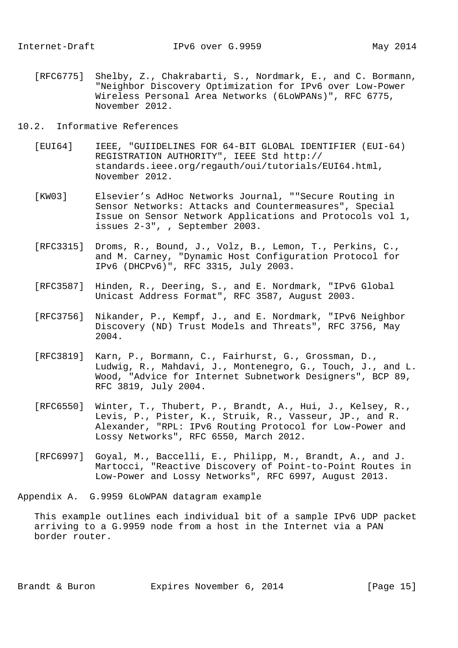- [RFC6775] Shelby, Z., Chakrabarti, S., Nordmark, E., and C. Bormann, "Neighbor Discovery Optimization for IPv6 over Low-Power Wireless Personal Area Networks (6LoWPANs)", RFC 6775, November 2012.
- 10.2. Informative References
	- [EUI64] IEEE, "GUIIDELINES FOR 64-BIT GLOBAL IDENTIFIER (EUI-64) REGISTRATION AUTHORITY", IEEE Std http:// standards.ieee.org/regauth/oui/tutorials/EUI64.html, November 2012.
	- [KW03] Elsevier's AdHoc Networks Journal, ""Secure Routing in Sensor Networks: Attacks and Countermeasures", Special Issue on Sensor Network Applications and Protocols vol 1, issues 2-3", , September 2003.
	- [RFC3315] Droms, R., Bound, J., Volz, B., Lemon, T., Perkins, C., and M. Carney, "Dynamic Host Configuration Protocol for IPv6 (DHCPv6)", RFC 3315, July 2003.
	- [RFC3587] Hinden, R., Deering, S., and E. Nordmark, "IPv6 Global Unicast Address Format", RFC 3587, August 2003.
	- [RFC3756] Nikander, P., Kempf, J., and E. Nordmark, "IPv6 Neighbor Discovery (ND) Trust Models and Threats", RFC 3756, May 2004.
	- [RFC3819] Karn, P., Bormann, C., Fairhurst, G., Grossman, D., Ludwig, R., Mahdavi, J., Montenegro, G., Touch, J., and L. Wood, "Advice for Internet Subnetwork Designers", BCP 89, RFC 3819, July 2004.
	- [RFC6550] Winter, T., Thubert, P., Brandt, A., Hui, J., Kelsey, R., Levis, P., Pister, K., Struik, R., Vasseur, JP., and R. Alexander, "RPL: IPv6 Routing Protocol for Low-Power and Lossy Networks", RFC 6550, March 2012.
	- [RFC6997] Goyal, M., Baccelli, E., Philipp, M., Brandt, A., and J. Martocci, "Reactive Discovery of Point-to-Point Routes in Low-Power and Lossy Networks", RFC 6997, August 2013.

Appendix A. G.9959 6LoWPAN datagram example

 This example outlines each individual bit of a sample IPv6 UDP packet arriving to a G.9959 node from a host in the Internet via a PAN border router.

Brandt & Buron **Expires November 6, 2014** [Page 15]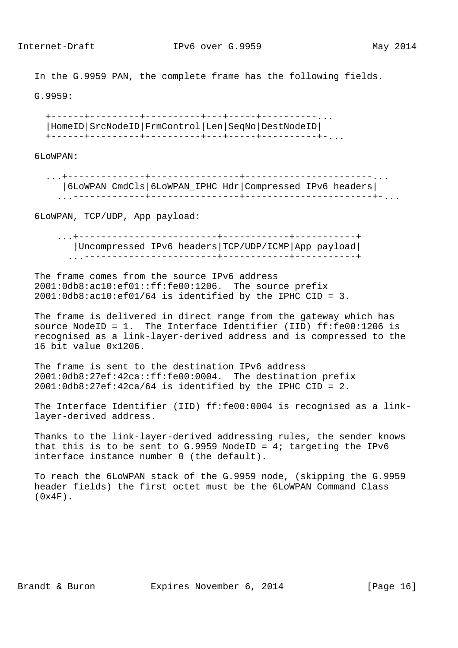In the G.9959 PAN, the complete frame has the following fields.

G.9959:

 +------+---------+----------+---+-----+----------... |HomeID|SrcNodeID|FrmControl|Len|SeqNo|DestNodeID| +------+---------+----------+---+-----+----------+-...

6LoWPAN:

|  |  | 6LOWPAN CmdCls  6LOWPAN_IPHC Hdr  Compressed IPv6 headers |  |  |
|--|--|-----------------------------------------------------------|--|--|
|  |  |                                                           |  |  |

6LoWPAN, TCP/UDP, App payload:

 ...+-------------------------+------------+-----------+ |Uncompressed IPv6 headers|TCP/UDP/ICMP|App payload| ...------------------------+------------+-----------+

 The frame comes from the source IPv6 address 2001:0db8:ac10:ef01::ff:fe00:1206. The source prefix 2001:0db8:ac10:ef01/64 is identified by the IPHC CID = 3.

 The frame is delivered in direct range from the gateway which has source NodeID = 1. The Interface Identifier (IID) ff:fe00:1206 is recognised as a link-layer-derived address and is compressed to the 16 bit value 0x1206.

 The frame is sent to the destination IPv6 address 2001:0db8:27ef:42ca::ff:fe00:0004. The destination prefix 2001:0db8:27ef:42ca/64 is identified by the IPHC CID = 2.

 The Interface Identifier (IID) ff:fe00:0004 is recognised as a link layer-derived address.

 Thanks to the link-layer-derived addressing rules, the sender knows that this is to be sent to G.9959 NodeID = 4; targeting the IPv6 interface instance number 0 (the default).

 To reach the 6LoWPAN stack of the G.9959 node, (skipping the G.9959 header fields) the first octet must be the 6LoWPAN Command Class  $(0x4F)$ .

Brandt & Buron Expires November 6, 2014 [Page 16]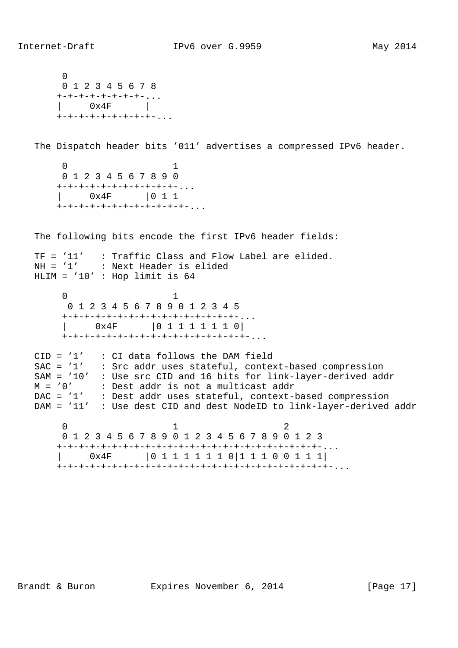$\Omega$  0 1 2 3 4 5 6 7 8 +-+-+-+-+-+-+-+-...  $\vert$  0x4F  $\vert$  $+ - + - + - + - + - + - + - -$ ...

The Dispatch header bits '011' advertises a compressed IPv6 header.

 0 1 0 1 2 3 4 5 6 7 8 9 0 +-+-+-+-+-+-+-+-+-+-+-... | 0x4F |0 1 1 +-+-+-+-+-+-+-+-+-+-+-+-...

The following bits encode the first IPv6 header fields:

 TF = '11' : Traffic Class and Flow Label are elided. NH = '1' : Next Header is elided HLIM = '10' : Hop limit is 64

 0 1 0 1 2 3 4 5 6 7 8 9 0 1 2 3 4 5 +-+-+-+-+-+-+-+-+-+-+-+-+-+-+-+-... | 0x4F |0 1 1 1 1 1 1 0| +-+-+-+-+-+-+-+-+-+-+-+-+-+-+-+-+-...

 $CID = '1'$  : CI data follows the DAM field SAC = '1' : Src addr uses stateful, context-based compression SAM = '10' : Use src CID and 16 bits for link-layer-derived addr M = '0' : Dest addr is not a multicast addr DAC = '1' : Dest addr uses stateful, context-based compression DAM = '11' : Use dest CID and dest NodeID to link-layer-derived addr

 $0$  1 2 0 1 2 3 4 5 6 7 8 9 0 1 2 3 4 5 6 7 8 9 0 1 2 3 +-+-+-+-+-+-+-+-+-+-+-+-+-+-+-+-+-+-+-+-+-+-+-+-... | 0x4F |0 1 1 1 1 1 1 0|1 1 1 0 0 1 1 1| +-+-+-+-+-+-+-+-+-+-+-+-+-+-+-+-+-+-+-+-+-+-+-+-+-...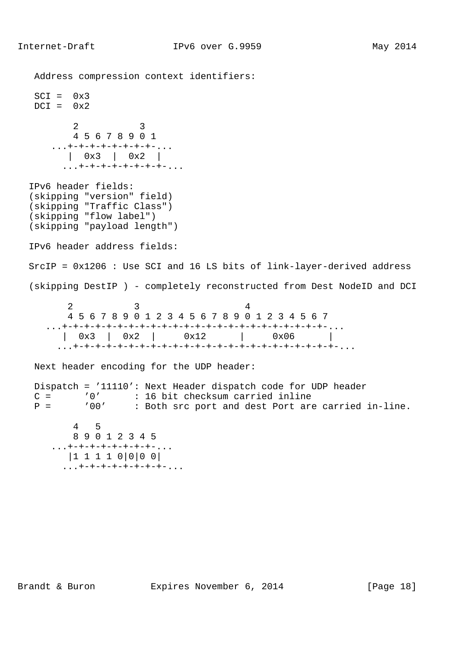Address compression context identifiers:  $SCI = 0x3$  $DCI = 0x2$  2 3 4 5 6 7 8 9 0 1 ...+-+-+-+-+-+-+-+-... | 0x3 | 0x2 | ...+-+-+-+-+-+-+-+-... IPv6 header fields: (skipping "version" field) (skipping "Traffic Class") (skipping "flow label") (skipping "payload length") IPv6 header address fields: SrcIP = 0x1206 : Use SCI and 16 LS bits of link-layer-derived address (skipping DestIP ) - completely reconstructed from Dest NodeID and DCI 2 3 4 4 5 6 7 8 9 0 1 2 3 4 5 6 7 8 9 0 1 2 3 4 5 6 7 ...+-+-+-+-+-+-+-+-+-+-+-+-+-+-+-+-+-+-+-+-+-+-+-+-... | 0x3 | 0x2 | 0x12 | 0x06 | ...+-+-+-+-+-+-+-+-+-+-+-+-+-+-+-+-+-+-+-+-+-+-+-+-... Next header encoding for the UDP header: Dispatch = '11110': Next Header dispatch code for UDP header C = '0' : 16 bit checksum carried inline P = '00' : Both src port and dest Port are carried in-line. 4 5 8 9 0 1 2 3 4 5 ...+-+-+-+-+-+-+-+-... |1 1 1 1 0|0|0 0| ...+-+-+-+-+-+-+-+-...

Brandt & Buron Expires November 6, 2014 [Page 18]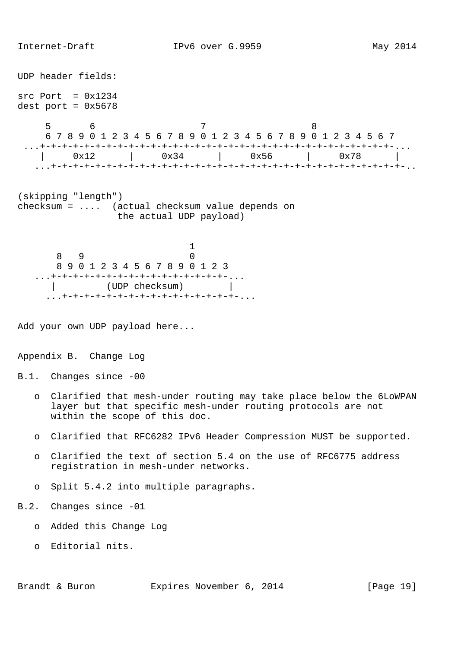UDP header fields:  $src$  Port =  $0x1234$  $dest port = 0x5678$  5 6 7 8 6 7 8 9 0 1 2 3 4 5 6 7 8 9 0 1 2 3 4 5 6 7 8 9 0 1 2 3 4 5 6 7 ...+-+-+-+-+-+-+-+-+-+-+-+-+-+-+-+-+-+-+-+-+-+-+-+-+-+-+-+-+-+-+-+-... | 0x12 | 0x34 | 0x56 | 0x78 | ...+-+-+-+-+-+-+-+-+-+-+-+-+-+-+-+-+-+-+-+-+-+-+-+-+-+-+-+-+-+-+-+-.. (skipping "length") checksum = .... (actual checksum value depends on the actual UDP payload) 1 8 9 0 8 9 0 1 2 3 4 5 6 7 8 9 0 1 2 3 ...+-+-+-+-+-+-+-+-+-+-+-+-+-+-+-+-... | (UDP checksum) | ...+-+-+-+-+-+-+-+-+-+-+-+-+-+-+-+-... Add your own UDP payload here... Appendix B. Change Log B.1. Changes since -00 o Clarified that mesh-under routing may take place below the 6LoWPAN layer but that specific mesh-under routing protocols are not within the scope of this doc. o Clarified that RFC6282 IPv6 Header Compression MUST be supported. o Clarified the text of section 5.4 on the use of RFC6775 address registration in mesh-under networks. o Split 5.4.2 into multiple paragraphs.

B.2. Changes since -01

o Added this Change Log

o Editorial nits.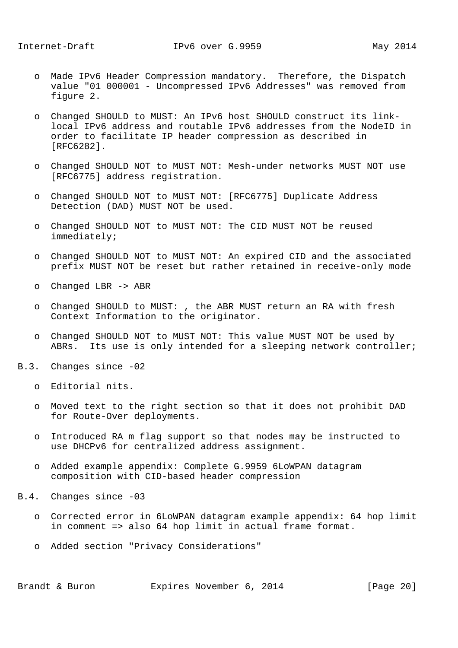- o Made IPv6 Header Compression mandatory. Therefore, the Dispatch value "01 000001 - Uncompressed IPv6 Addresses" was removed from figure 2.
- o Changed SHOULD to MUST: An IPv6 host SHOULD construct its link local IPv6 address and routable IPv6 addresses from the NodeID in order to facilitate IP header compression as described in [RFC6282].
- o Changed SHOULD NOT to MUST NOT: Mesh-under networks MUST NOT use [RFC6775] address registration.
- o Changed SHOULD NOT to MUST NOT: [RFC6775] Duplicate Address Detection (DAD) MUST NOT be used.
- o Changed SHOULD NOT to MUST NOT: The CID MUST NOT be reused immediately;
- o Changed SHOULD NOT to MUST NOT: An expired CID and the associated prefix MUST NOT be reset but rather retained in receive-only mode
- o Changed LBR -> ABR
- o Changed SHOULD to MUST: , the ABR MUST return an RA with fresh Context Information to the originator.
- o Changed SHOULD NOT to MUST NOT: This value MUST NOT be used by ABRs. Its use is only intended for a sleeping network controller;
- B.3. Changes since -02
	- o Editorial nits.
	- o Moved text to the right section so that it does not prohibit DAD for Route-Over deployments.
	- o Introduced RA m flag support so that nodes may be instructed to use DHCPv6 for centralized address assignment.
	- o Added example appendix: Complete G.9959 6LoWPAN datagram composition with CID-based header compression
- B.4. Changes since -03
	- o Corrected error in 6LoWPAN datagram example appendix: 64 hop limit in comment => also 64 hop limit in actual frame format.
	- o Added section "Privacy Considerations"

Brandt & Buron Expires November 6, 2014 [Page 20]